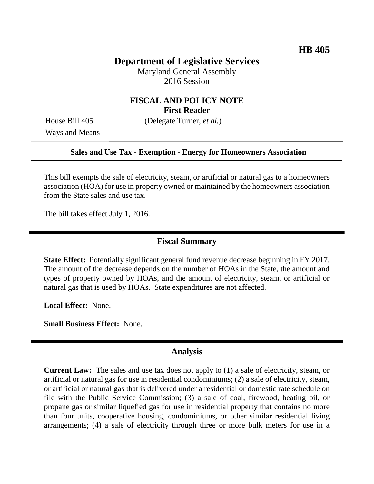# **Department of Legislative Services**

Maryland General Assembly 2016 Session

## **FISCAL AND POLICY NOTE First Reader**

Ways and Means

House Bill 405 (Delegate Turner, *et al.*)

#### **Sales and Use Tax - Exemption - Energy for Homeowners Association**

This bill exempts the sale of electricity, steam, or artificial or natural gas to a homeowners association (HOA) for use in property owned or maintained by the homeowners association from the State sales and use tax.

The bill takes effect July 1, 2016.

### **Fiscal Summary**

**State Effect:** Potentially significant general fund revenue decrease beginning in FY 2017. The amount of the decrease depends on the number of HOAs in the State, the amount and types of property owned by HOAs, and the amount of electricity, steam, or artificial or natural gas that is used by HOAs. State expenditures are not affected.

**Local Effect:** None.

**Small Business Effect:** None.

#### **Analysis**

**Current Law:** The sales and use tax does not apply to (1) a sale of electricity, steam, or artificial or natural gas for use in residential condominiums; (2) a sale of electricity, steam, or artificial or natural gas that is delivered under a residential or domestic rate schedule on file with the Public Service Commission; (3) a sale of coal, firewood, heating oil, or propane gas or similar liquefied gas for use in residential property that contains no more than four units, cooperative housing, condominiums, or other similar residential living arrangements; (4) a sale of electricity through three or more bulk meters for use in a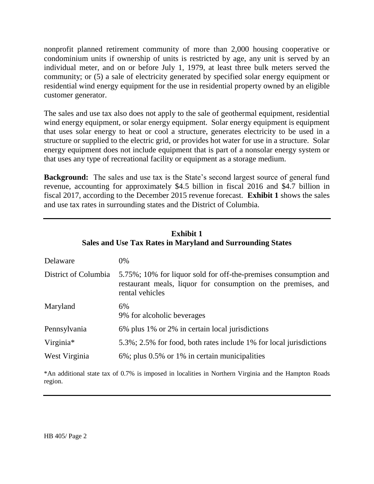nonprofit planned retirement community of more than 2,000 housing cooperative or condominium units if ownership of units is restricted by age, any unit is served by an individual meter, and on or before July 1, 1979, at least three bulk meters served the community; or (5) a sale of electricity generated by specified solar energy equipment or residential wind energy equipment for the use in residential property owned by an eligible customer generator.

The sales and use tax also does not apply to the sale of geothermal equipment, residential wind energy equipment, or solar energy equipment. Solar energy equipment is equipment that uses solar energy to heat or cool a structure, generates electricity to be used in a structure or supplied to the electric grid, or provides hot water for use in a structure. Solar energy equipment does not include equipment that is part of a nonsolar energy system or that uses any type of recreational facility or equipment as a storage medium.

**Background:** The sales and use tax is the State's second largest source of general fund revenue, accounting for approximately \$4.5 billion in fiscal 2016 and \$4.7 billion in fiscal 2017, according to the December 2015 revenue forecast. **Exhibit 1** shows the sales and use tax rates in surrounding states and the District of Columbia.

**Exhibit 1**

| тэхтнэн н<br>Sales and Use Tax Rates in Maryland and Surrounding States                                                                             |  |  |  |  |  |  |
|-----------------------------------------------------------------------------------------------------------------------------------------------------|--|--|--|--|--|--|
| $0\%$                                                                                                                                               |  |  |  |  |  |  |
| 5.75%; 10% for liquor sold for off-the-premises consumption and<br>restaurant meals, liquor for consumption on the premises, and<br>rental vehicles |  |  |  |  |  |  |
| 6%<br>9% for alcoholic beverages                                                                                                                    |  |  |  |  |  |  |
| 6% plus 1% or 2% in certain local jurisdictions                                                                                                     |  |  |  |  |  |  |
| 5.3%; 2.5% for food, both rates include 1% for local jurisdictions                                                                                  |  |  |  |  |  |  |
| 6%; plus 0.5% or 1% in certain municipalities                                                                                                       |  |  |  |  |  |  |
|                                                                                                                                                     |  |  |  |  |  |  |

\*An additional state tax of 0.7% is imposed in localities in Northern Virginia and the Hampton Roads region.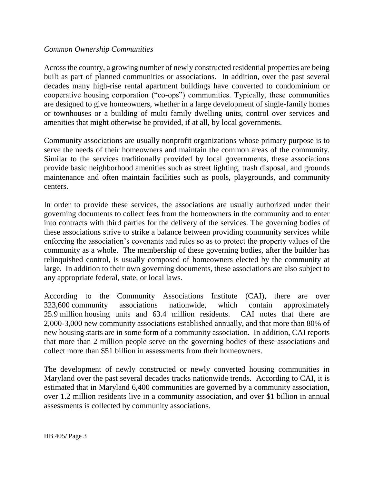### *Common Ownership Communities*

Across the country, a growing number of newly constructed residential properties are being built as part of planned communities or associations. In addition, over the past several decades many high-rise rental apartment buildings have converted to condominium or cooperative housing corporation ("co-ops") communities. Typically, these communities are designed to give homeowners, whether in a large development of single-family homes or townhouses or a building of multi family dwelling units, control over services and amenities that might otherwise be provided, if at all, by local governments.

Community associations are usually nonprofit organizations whose primary purpose is to serve the needs of their homeowners and maintain the common areas of the community. Similar to the services traditionally provided by local governments, these associations provide basic neighborhood amenities such as street lighting, trash disposal, and grounds maintenance and often maintain facilities such as pools, playgrounds, and community centers.

In order to provide these services, the associations are usually authorized under their governing documents to collect fees from the homeowners in the community and to enter into contracts with third parties for the delivery of the services. The governing bodies of these associations strive to strike a balance between providing community services while enforcing the association's covenants and rules so as to protect the property values of the community as a whole. The membership of these governing bodies, after the builder has relinquished control, is usually composed of homeowners elected by the community at large. In addition to their own governing documents, these associations are also subject to any appropriate federal, state, or local laws.

According to the Community Associations Institute (CAI), there are over 323,600 community associations nationwide, which contain approximately 25.9 million housing units and 63.4 million residents. CAI notes that there are 2,000-3,000 new community associations established annually, and that more than 80% of new housing starts are in some form of a community association. In addition, CAI reports that more than 2 million people serve on the governing bodies of these associations and collect more than \$51 billion in assessments from their homeowners.

The development of newly constructed or newly converted housing communities in Maryland over the past several decades tracks nationwide trends. According to CAI, it is estimated that in Maryland 6,400 communities are governed by a community association, over 1.2 million residents live in a community association, and over \$1 billion in annual assessments is collected by community associations.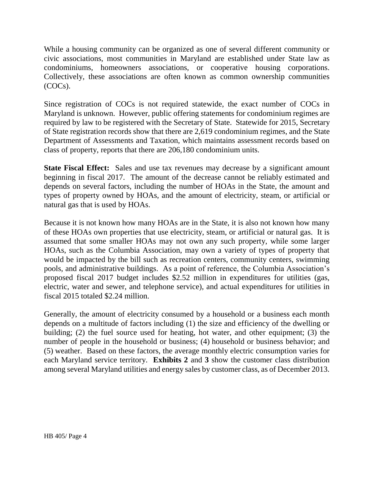While a housing community can be organized as one of several different community or civic associations, most communities in Maryland are established under State law as condominiums, homeowners associations, or cooperative housing corporations. Collectively, these associations are often known as common ownership communities (COCs).

Since registration of COCs is not required statewide, the exact number of COCs in Maryland is unknown. However, public offering statements for condominium regimes are required by law to be registered with the Secretary of State. Statewide for 2015, Secretary of State registration records show that there are 2,619 condominium regimes, and the State Department of Assessments and Taxation, which maintains assessment records based on class of property, reports that there are 206,180 condominium units.

**State Fiscal Effect:** Sales and use tax revenues may decrease by a significant amount beginning in fiscal 2017. The amount of the decrease cannot be reliably estimated and depends on several factors, including the number of HOAs in the State, the amount and types of property owned by HOAs, and the amount of electricity, steam, or artificial or natural gas that is used by HOAs.

Because it is not known how many HOAs are in the State, it is also not known how many of these HOAs own properties that use electricity, steam, or artificial or natural gas. It is assumed that some smaller HOAs may not own any such property, while some larger HOAs, such as the Columbia Association, may own a variety of types of property that would be impacted by the bill such as recreation centers, community centers, swimming pools, and administrative buildings. As a point of reference, the Columbia Association's proposed fiscal 2017 budget includes \$2.52 million in expenditures for utilities (gas, electric, water and sewer, and telephone service), and actual expenditures for utilities in fiscal 2015 totaled \$2.24 million.

Generally, the amount of electricity consumed by a household or a business each month depends on a multitude of factors including (1) the size and efficiency of the dwelling or building; (2) the fuel source used for heating, hot water, and other equipment; (3) the number of people in the household or business; (4) household or business behavior; and (5) weather. Based on these factors, the average monthly electric consumption varies for each Maryland service territory. **Exhibits 2** and **3** show the customer class distribution among several Maryland utilities and energy sales by customer class, as of December 2013.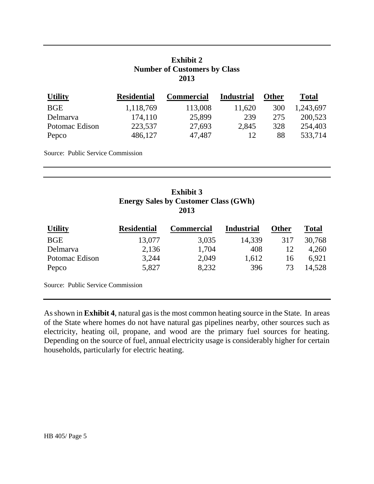## **Exhibit 2 Number of Customers by Class 2013**

| <b>Utility</b> | <b>Residential</b> | <b>Commercial</b> | <b>Industrial</b> | <b>Other</b> | <b>Total</b> |
|----------------|--------------------|-------------------|-------------------|--------------|--------------|
| <b>BGE</b>     | 1,118,769          | 113,008           | 11,620            | 300          | 1,243,697    |
| Delmarya       | 174,110            | 25,899            | 239               | 275          | 200,523      |
| Potomac Edison | 223,537            | 27,693            | 2,845             | 328          | 254,403      |
| Pepco          | 486,127            | 47,487            | 12.               | 88           | 533,714      |

Source: Public Service Commission

# **Exhibit 3 Energy Sales by Customer Class (GWh) 2013**

| <b>Utility</b> | <b>Residential</b> | Commercial | <b>Industrial</b> | Other | <b>Total</b> |
|----------------|--------------------|------------|-------------------|-------|--------------|
| <b>BGE</b>     | 13,077             | 3,035      | 14,339            | 317   | 30,768       |
| Delmarva       | 2,136              | 1,704      | 408               |       | 4,260        |
| Potomac Edison | 3,244              | 2,049      | 1,612             | 16    | 6.921        |
| Pepco          | 5,827              | 8,232      | 396               | 73    | 14,528       |

Source: Public Service Commission

As shown in **Exhibit 4**, natural gas is the most common heating source in the State. In areas of the State where homes do not have natural gas pipelines nearby, other sources such as electricity, heating oil, propane, and wood are the primary fuel sources for heating. Depending on the source of fuel, annual electricity usage is considerably higher for certain households, particularly for electric heating.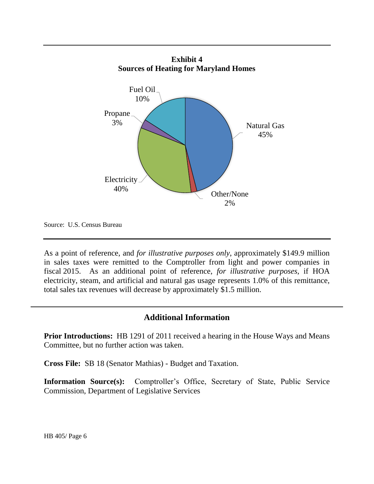



Source: U.S. Census Bureau

As a point of reference, and *for illustrative purposes only*, approximately \$149.9 million in sales taxes were remitted to the Comptroller from light and power companies in fiscal 2015. As an additional point of reference, *for illustrative purposes*, if HOA electricity, steam, and artificial and natural gas usage represents 1.0% of this remittance, total sales tax revenues will decrease by approximately \$1.5 million.

## **Additional Information**

**Prior Introductions:** HB 1291 of 2011 received a hearing in the House Ways and Means Committee, but no further action was taken.

**Cross File:** SB 18 (Senator Mathias) - Budget and Taxation.

**Information Source(s):** Comptroller's Office, Secretary of State, Public Service Commission, Department of Legislative Services